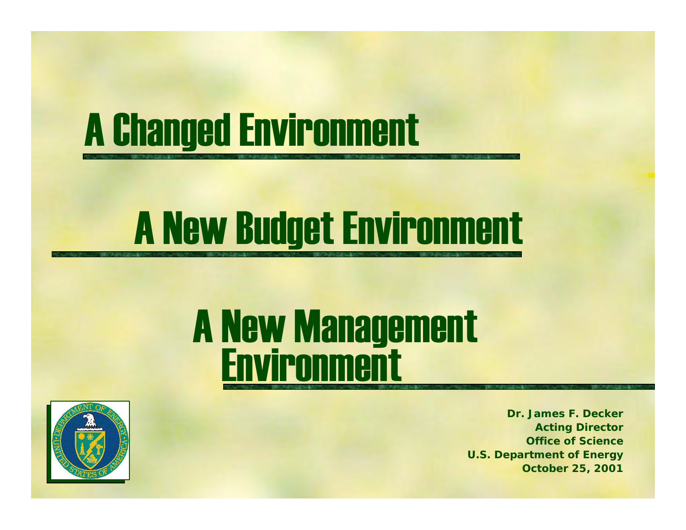## A Changed Environment

# A New Budget Environment

#### A New Management **Environment**



*Dr. James F. DeckerActing Director Office of ScienceU.S. Department of Energy October 25, 2001*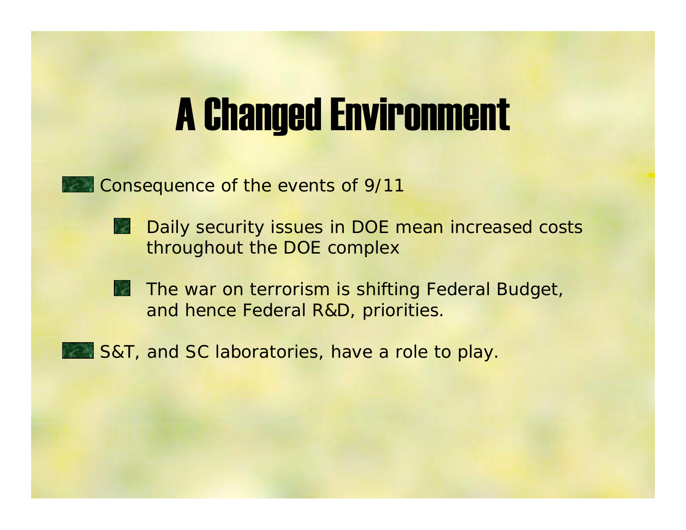#### A Changed Environment

 $\blacksquare$  Consequence of the events of 9/11

- -- Daily security issues in DOE mean increased costs throughout the DOE complex
- -- The war on terrorism is shifting Federal Budget, and hence Federal R&D, priorities.
- **B** S&T, and SC laboratories, have a role to play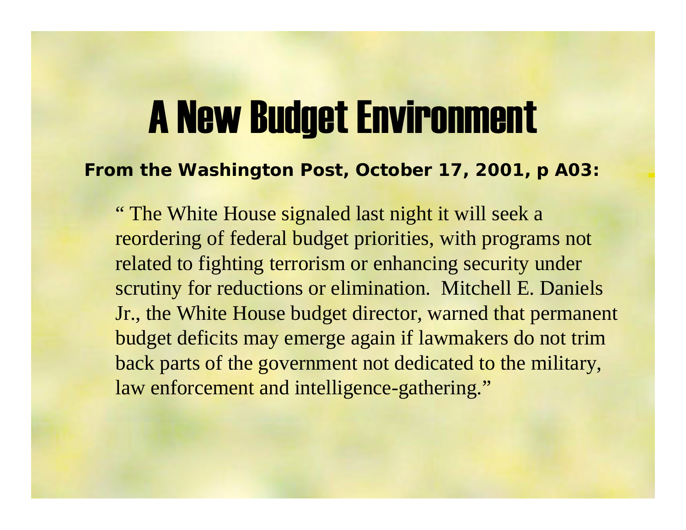#### A New Budget Environment

#### **From** *the Washington Post***, October 17, 2001, p A03:**

" The White House signaled last night it will seek a reordering of federal budget priorities, with programs not related to fighting terrorism or enhancing security under scrutiny for reductions or elimination. Mitchell E. Daniels Jr., the White House budget director, warned that permanent budget deficits may emerge again if lawmakers do not trim back parts of the government not dedicated to the military, law enforcement and intelligence-gathering."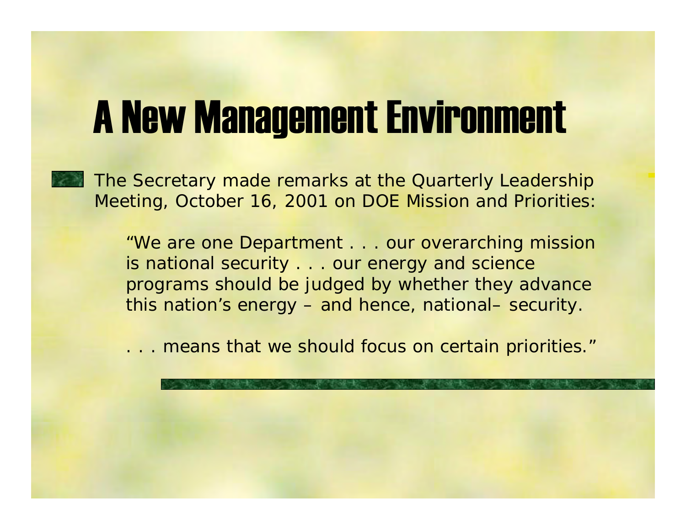#### A New Management Environment

The Secretary made remarks at the Quarterly Leadership Meeting, October 16, 2001 on DOE Mission and Priorities:

> "We are one Department . . . our overarching mission is national security . . . our energy and science programs should be judged by whether they advance this nation's energy – and hence, national– security.

> . . . means that we should focus on certain priorities*."*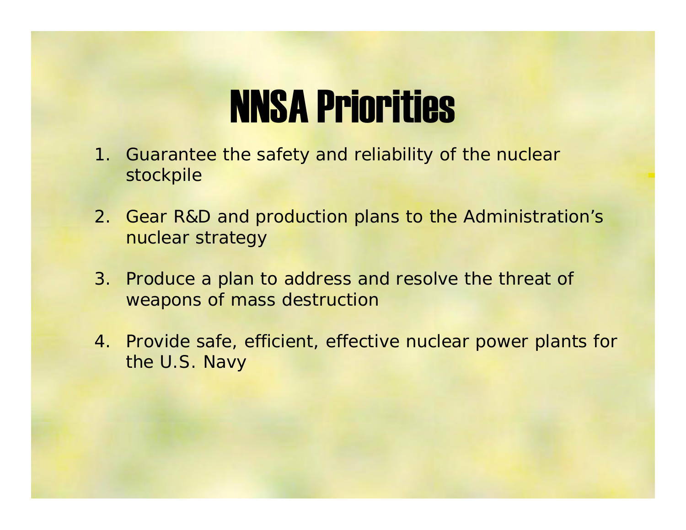#### NNSA Priorities

- 1. Guarantee the safety and reliability of the nuclear stockpile
- 2. Gear R&D and production plans to the Administration's nuclear strategy
- 3. Produce a plan to address and resolve the threat of weapons of mass destruction
- 4. Provide safe, efficient, effective nuclear power plants for the U.S. Navy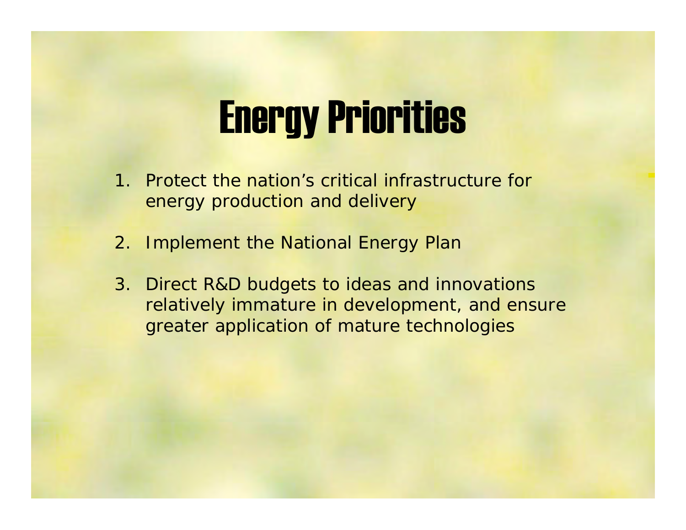#### Energy Priorities

- 1. Protect the nation's critical infrastructure for energy production and delivery
- 2. Implement the National Energy Plan
- 3. Direct R&D budgets to ideas and innovations relatively immature in development, and ensure greater application of mature technologies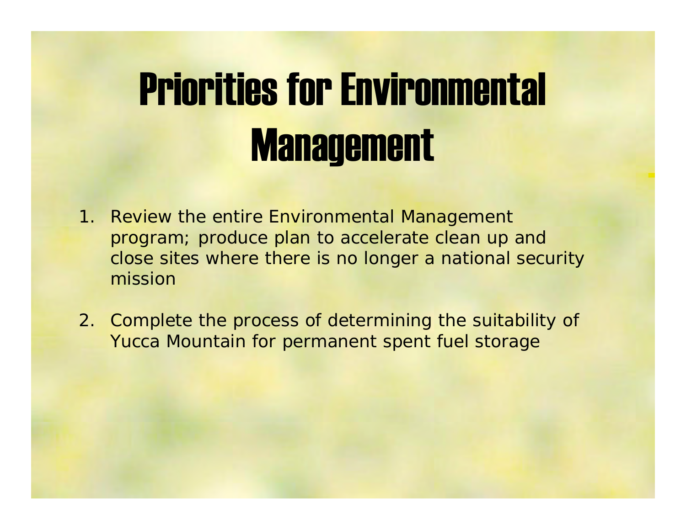# Priorities for Environmental **Management**

- 1. Review the entire Environmental Management program; produce plan to accelerate clean up and close sites where there is no longer a national security mission
- 2. Complete the process of determining the suitability of Yucca Mountain for permanent spent fuel storage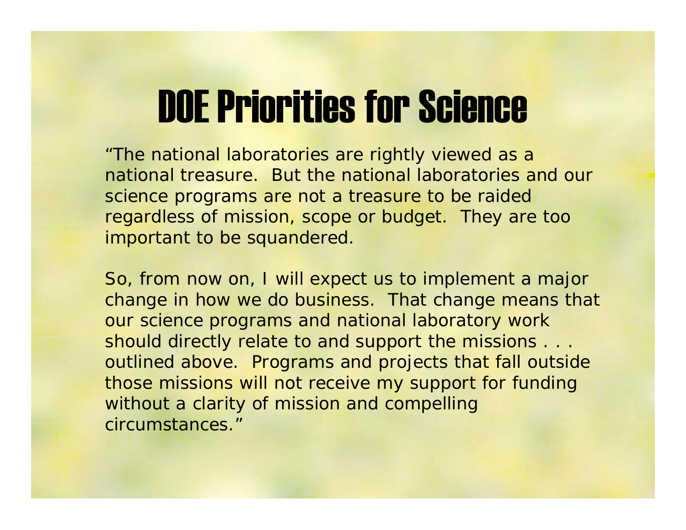#### DOE Priorities for Science

"The national laboratories are rightly viewed as a national treasure. But the national laboratories and our science programs are not a treasure to be raided regardless of mission, scope or budget. They are too important to be squandered.

So, from now on, I will expect us to implement a major change in how we do business. That change means that our science programs and national laboratory work should directly relate to and support the missions . . . outlined above. Programs and projects that fall outside those missions will not receive my support for funding without a clarity of mission and compelling circumstances."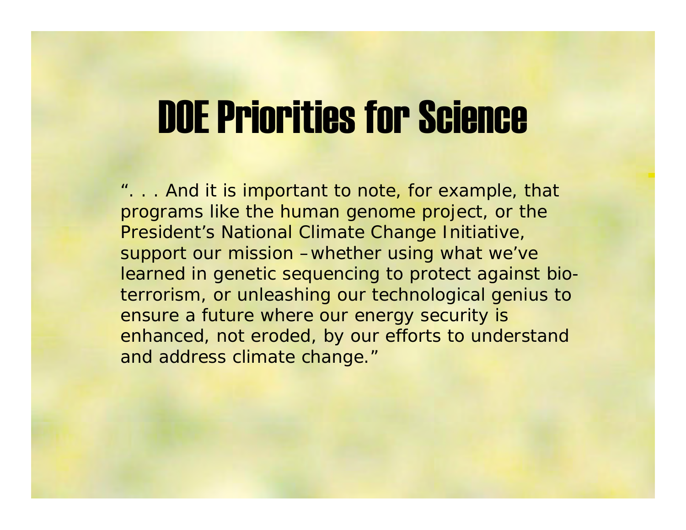#### DOE Priorities for Science

". . . And it is important to note, for example, that programs like the human genome project, or the President's National Climate Change Initiative, support our mission –whether using what we've learned in genetic sequencing to protect against bioterrorism, or unleashing our technological genius to ensure a future where our energy security is enhanced, not eroded, by our efforts to understand and address climate change."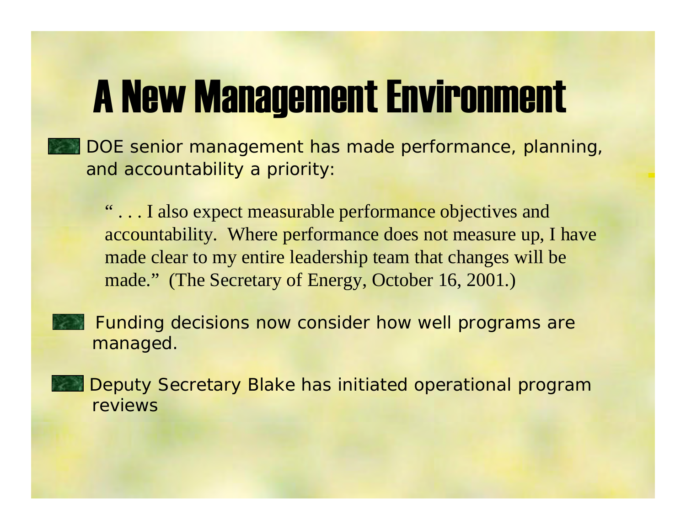### A New Management Environment

• DOE senior management has made performance, planning, and accountability a priority:

" . . . I also expect measurable performance objectives and accountability. Where performance does not measure up, I have made clear to my entire leadership team that changes will be made." (The Secretary of Energy, October 16, 2001.)

 Funding decisions now consider how well programs are managed.

 Deputy Secretary Blake has initiated operational program reviews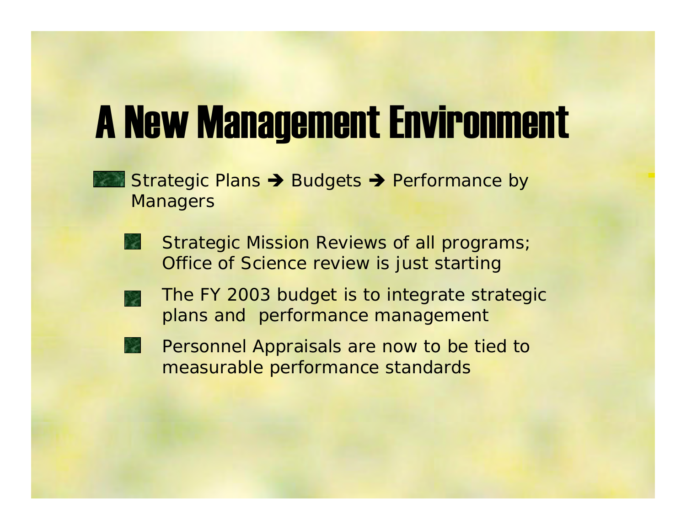#### A New Management Environment

- Strategic Plans  $\rightarrow$  Budgets  $\rightarrow$  Performance by **Managers** 
	- Strategic Mission Reviews of all programs; Office of Science review is just starting
	- The FY 2003 budget is to integrate strategic plans and performance management
	- Personnel Appraisals are now to be tied to measurable performance standards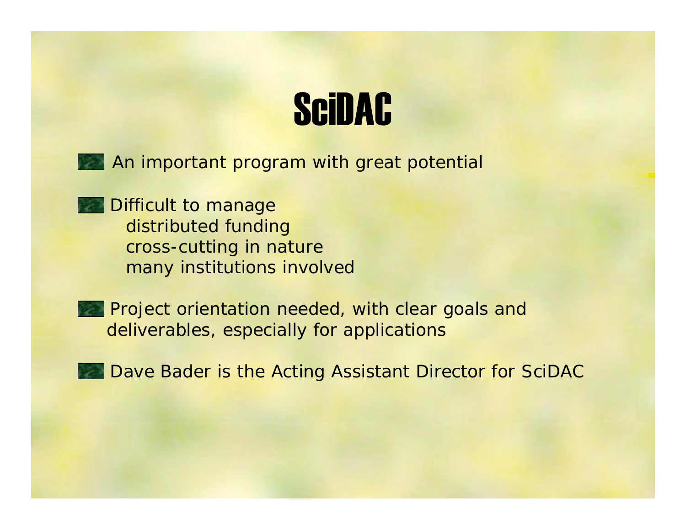### **SciDAC**



**Difficult to manage** distributed funding cross-cutting in nature many institutions involved

• Project orientation needed, with clear goals and deliverables, especially for applications

• Dave Bader is the Acting Assistant Director for SciDAC